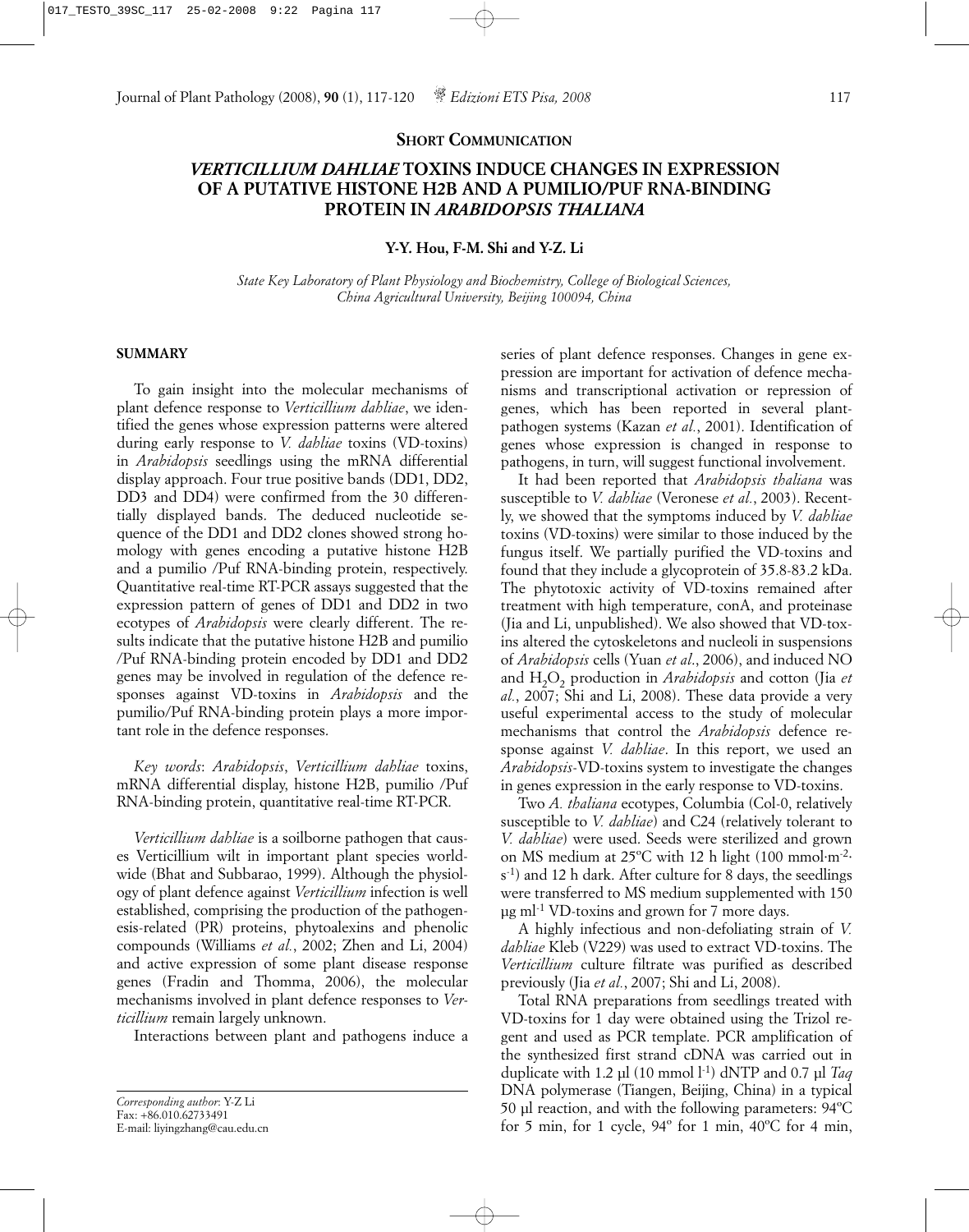## **SHORT COMMUNICATION**

# *VERTICILLIUM DAHLIAE* **TOXINS INDUCE CHANGES IN EXPRESSION OF A PUTATIVE HISTONE H2B AND A PUMILIO/PUF RNA-BINDING PROTEIN IN** *ARABIDOPSIS THALIANA*

**Y-Y. Hou, F-M. Shi and Y-Z. Li**

*State Key Laboratory of Plant Physiology and Biochemistry, College of Biological Sciences, China Agricultural University, Beijing 100094, China*

## **SUMMARY**

To gain insight into the molecular mechanisms of plant defence response to *Verticillium dahliae*, we identified the genes whose expression patterns were altered during early response to *V. dahliae* toxins (VD-toxins) in *Arabidopsis* seedlings using the mRNA differential display approach. Four true positive bands (DD1, DD2, DD3 and DD4) were confirmed from the 30 differentially displayed bands. The deduced nucleotide sequence of the DD1 and DD2 clones showed strong homology with genes encoding a putative histone H2B and a pumilio /Puf RNA-binding protein, respectively. Quantitative real-time RT-PCR assays suggested that the expression pattern of genes of DD1 and DD2 in two ecotypes of *Arabidopsis* were clearly different. The results indicate that the putative histone H2B and pumilio /Puf RNA-binding protein encoded by DD1 and DD2 genes may be involved in regulation of the defence responses against VD-toxins in *Arabidopsis* and the pumilio/Puf RNA-binding protein plays a more important role in the defence responses.

*Key words*: *Arabidopsis*, *Verticillium dahliae* toxins, mRNA differential display, histone H2B, pumilio /Puf RNA-binding protein, quantitative real-time RT-PCR.

*Verticillium dahliae* is a soilborne pathogen that causes Verticillium wilt in important plant species worldwide (Bhat and Subbarao, 1999). Although the physiology of plant defence against *Verticillium* infection is well established, comprising the production of the pathogenesis-related (PR) proteins, phytoalexins and phenolic compounds (Williams *et al.*, 2002; Zhen and Li, 2004) and active expression of some plant disease response genes (Fradin and Thomma, 2006), the molecular mechanisms involved in plant defence responses to *Verticillium* remain largely unknown.

Interactions between plant and pathogens induce a

```
Corresponding author: Y-Z Li
Fax: +86.010.62733491
E-mail: liyingzhang@cau.edu.cn
```
series of plant defence responses. Changes in gene expression are important for activation of defence mechanisms and transcriptional activation or repression of genes, which has been reported in several plantpathogen systems (Kazan *et al.*, 2001). Identification of genes whose expression is changed in response to pathogens, in turn, will suggest functional involvement.

It had been reported that *Arabidopsis thaliana* was susceptible to *V. dahliae* (Veronese *et al.*, 2003). Recently, we showed that the symptoms induced by *V. dahliae* toxins (VD-toxins) were similar to those induced by the fungus itself. We partially purified the VD-toxins and found that they include a glycoprotein of 35.8-83.2 kDa. The phytotoxic activity of VD-toxins remained after treatment with high temperature, conA, and proteinase (Jia and Li, unpublished). We also showed that VD-toxins altered the cytoskeletons and nucleoli in suspensions of *Arabidopsis* cells (Yuan *et al*., 2006), and induced NO and H<sub>2</sub>O<sub>2</sub> production in *Arabidopsis* and cotton (Jia *et al.*, 2007; Shi and Li, 2008). These data provide a very useful experimental access to the study of molecular mechanisms that control the *Arabidopsis* defence response against *V. dahliae*. In this report, we used an *Arabidopsis*-VD-toxins system to investigate the changes in genes expression in the early response to VD-toxins.

Two *A. thaliana* ecotypes, Columbia (Col-0, relatively susceptible to *V. dahliae*) and C24 (relatively tolerant to *V. dahliae*) were used. Seeds were sterilized and grown on MS medium at 25ºC with 12 h light (100 mmol·m-2· s-1) and 12 h dark. After culture for 8 days, the seedlings were transferred to MS medium supplemented with 150 µg ml-1 VD-toxins and grown for 7 more days.

A highly infectious and non-defoliating strain of *V. dahliae* Kleb (V229) was used to extract VD-toxins. The *Verticillium* culture filtrate was purified as described previously (Jia *et al.*, 2007; Shi and Li, 2008).

Total RNA preparations from seedlings treated with VD-toxins for 1 day were obtained using the Trizol regent and used as PCR template. PCR amplification of the synthesized first strand cDNA was carried out in duplicate with 1.2 µl (10 mmol l-1) dNTP and 0.7 µl *Taq* DNA polymerase (Tiangen, Beijing, China) in a typical 50 µl reaction, and with the following parameters: 94ºC for 5 min, for 1 cycle,  $94^{\circ}$  for 1 min,  $40^{\circ}$ C for 4 min,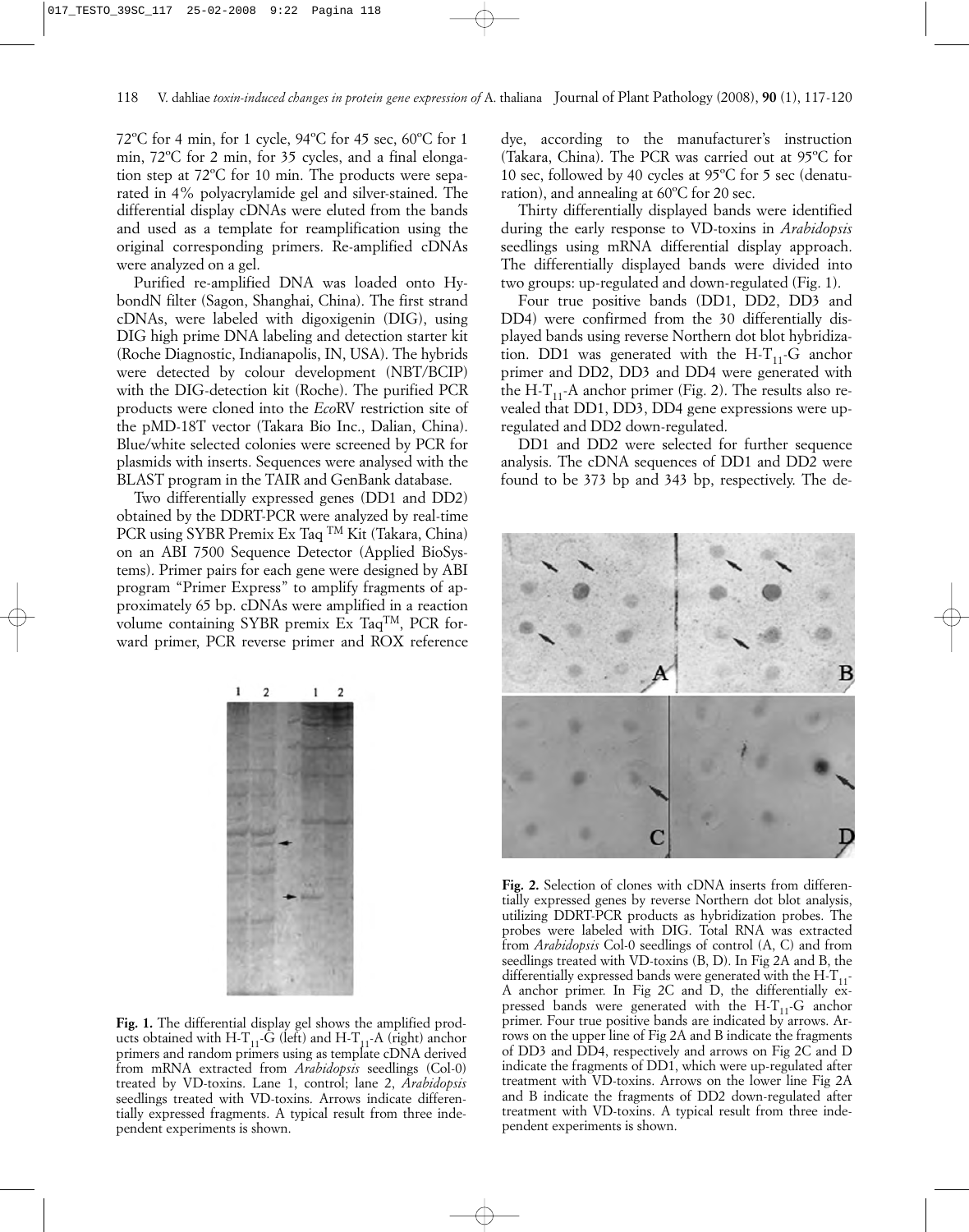72ºC for 4 min, for 1 cycle, 94ºC for 45 sec, 60ºC for 1 min, 72ºC for 2 min, for 35 cycles, and a final elongation step at 72ºC for 10 min. The products were separated in 4% polyacrylamide gel and silver-stained. The differential display cDNAs were eluted from the bands and used as a template for reamplification using the original corresponding primers. Re-amplified cDNAs were analyzed on a gel.

Purified re-amplified DNA was loaded onto HybondN filter (Sagon, Shanghai, China). The first strand cDNAs, were labeled with digoxigenin (DIG), using DIG high prime DNA labeling and detection starter kit (Roche Diagnostic, Indianapolis, IN, USA). The hybrids were detected by colour development (NBT/BCIP) with the DIG-detection kit (Roche). The purified PCR products were cloned into the *Eco*RV restriction site of the pMD-18T vector (Takara Bio Inc., Dalian, China). Blue/white selected colonies were screened by PCR for plasmids with inserts. Sequences were analysed with the BLAST program in the TAIR and GenBank database.

Two differentially expressed genes (DD1 and DD2) obtained by the DDRT-PCR were analyzed by real-time PCR using SYBR Premix Ex Taq TM Kit (Takara, China) on an ABI 7500 Sequence Detector (Applied BioSystems). Primer pairs for each gene were designed by ABI program "Primer Express" to amplify fragments of approximately 65 bp. cDNAs were amplified in a reaction volume containing SYBR premix Ex TaqTM, PCR forward primer, PCR reverse primer and ROX reference



**Fig. 1.** The differential display gel shows the amplified products obtained with H-T<sub>11</sub>-G (left) and H-T<sub>11</sub>-A (right) anchor primers and random primers using as template cDNA derived from mRNA extracted from *Arabidopsis* seedlings (Col-0) treated by VD-toxins. Lane 1, control; lane 2, *Arabidopsis* seedlings treated with VD-toxins. Arrows indicate differentially expressed fragments. A typical result from three independent experiments is shown.

dye, according to the manufacturer's instruction (Takara, China). The PCR was carried out at 95ºC for 10 sec, followed by 40 cycles at 95ºC for 5 sec (denaturation), and annealing at 60ºC for 20 sec.

Thirty differentially displayed bands were identified during the early response to VD-toxins in *Arabidopsis* seedlings using mRNA differential display approach. The differentially displayed bands were divided into two groups: up-regulated and down-regulated (Fig. 1).

Four true positive bands (DD1, DD2, DD3 and DD4) were confirmed from the 30 differentially displayed bands using reverse Northern dot blot hybridization. DD1 was generated with the H-T<sub>11</sub>-G anchor primer and DD2, DD3 and DD4 were generated with the H-T<sub>11</sub>-A anchor primer (Fig. 2). The results also revealed that DD1, DD3, DD4 gene expressions were upregulated and DD2 down-regulated.

DD1 and DD2 were selected for further sequence analysis. The cDNA sequences of DD1 and DD2 were found to be 373 bp and 343 bp, respectively. The de-



**Fig. 2.** Selection of clones with cDNA inserts from differentially expressed genes by reverse Northern dot blot analysis, utilizing DDRT-PCR products as hybridization probes. The probes were labeled with DIG. Total RNA was extracted from *Arabidopsis* Col-0 seedlings of control (A, C) and from seedlings treated with VD-toxins (B, D). In Fig 2A and B, the differentially expressed bands were generated with the  $H - T_{11}$ -A anchor primer. In Fig 2C and D, the differentially expressed bands were generated with the  $H - T_{11} - G$  anchor primer. Four true positive bands are indicated by arrows. Arrows on the upper line of Fig 2A and B indicate the fragments of DD3 and DD4, respectively and arrows on Fig 2C and D indicate the fragments of DD1, which were up-regulated after treatment with VD-toxins. Arrows on the lower line Fig 2A and B indicate the fragments of DD2 down-regulated after treatment with VD-toxins. A typical result from three independent experiments is shown.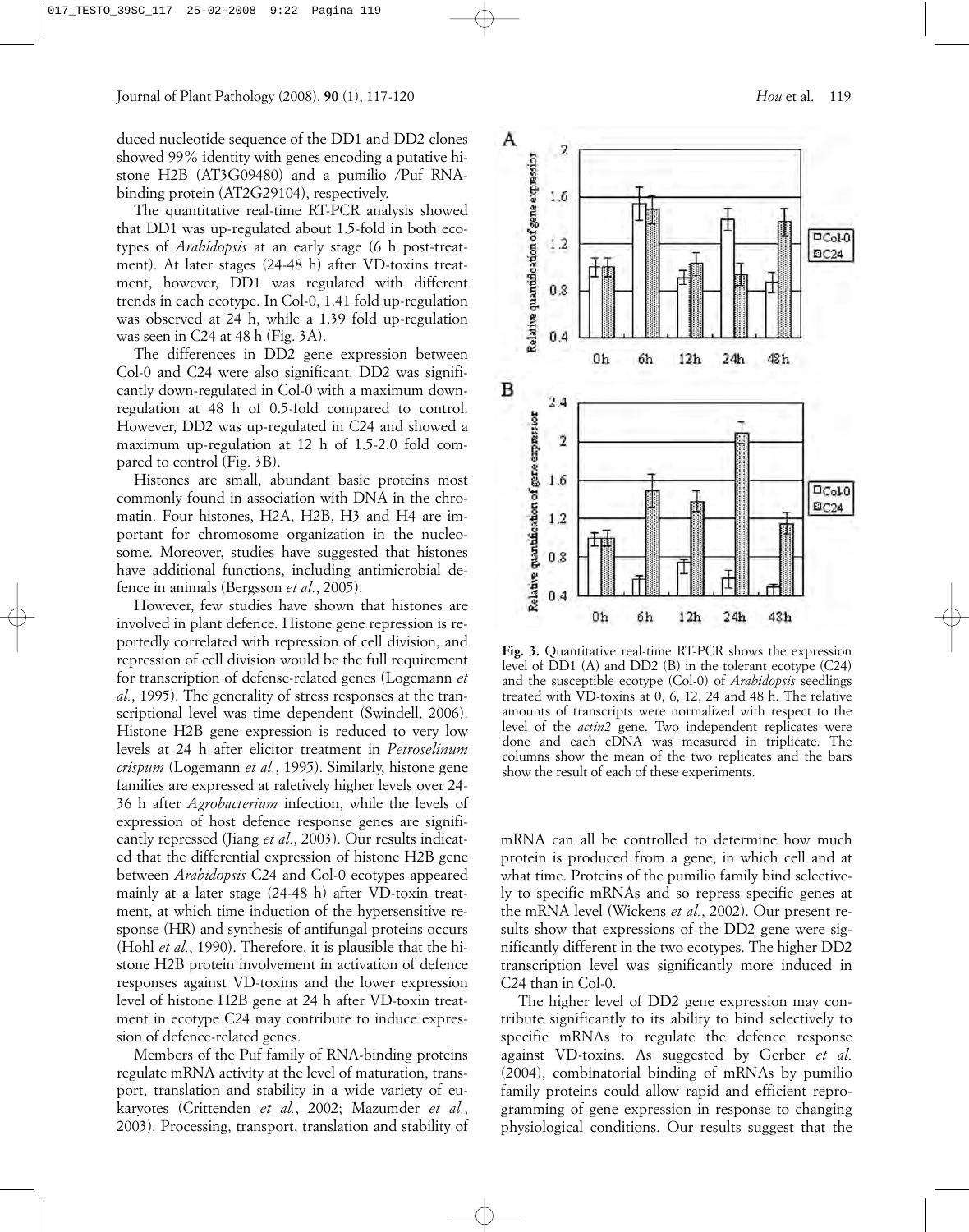duced nucleotide sequence of the DD1 and DD2 clones showed 99% identity with genes encoding a putative histone H2B (AT3G09480) and a pumilio /Puf RNAbinding protein (AT2G29104), respectively.

The quantitative real-time RT-PCR analysis showed that DD1 was up-regulated about 1.5-fold in both ecotypes of *Arabidopsis* at an early stage (6 h post-treatment). At later stages (24-48 h) after VD-toxins treatment, however, DD1 was regulated with different trends in each ecotype. In Col-0, 1.41 fold up-regulation was observed at 24 h, while a 1.39 fold up-regulation was seen in C24 at 48 h (Fig. 3A).

The differences in DD2 gene expression between Col-0 and C24 were also significant. DD2 was significantly down-regulated in Col-0 with a maximum downregulation at 48 h of 0.5-fold compared to control. However, DD2 was up-regulated in C24 and showed a maximum up-regulation at 12 h of 1.5-2.0 fold compared to control (Fig. 3B).

Histones are small, abundant basic proteins most commonly found in association with DNA in the chromatin. Four histones, H2A, H2B, H3 and H4 are important for chromosome organization in the nucleosome. Moreover, studies have suggested that histones have additional functions, including antimicrobial defence in animals (Bergsson *et al.*, 2005).

However, few studies have shown that histones are involved in plant defence. Histone gene repression is reportedly correlated with repression of cell division, and repression of cell division would be the full requirement for transcription of defense-related genes (Logemann *et al.*, 1995). The generality of stress responses at the transcriptional level was time dependent (Swindell, 2006). Histone H2B gene expression is reduced to very low levels at 24 h after elicitor treatment in *Petroselinum crispum* (Logemann *et al.*, 1995). Similarly, histone gene families are expressed at raletively higher levels over 24- 36 h after *Agrobacterium* infection, while the levels of expression of host defence response genes are significantly repressed (Jiang *et al.*, 2003). Our results indicated that the differential expression of histone H2B gene between *Arabidopsis* C24 and Col-0 ecotypes appeared mainly at a later stage (24-48 h) after VD-toxin treatment, at which time induction of the hypersensitive response (HR) and synthesis of antifungal proteins occurs (Hohl *et al.*, 1990). Therefore, it is plausible that the histone H2B protein involvement in activation of defence responses against VD-toxins and the lower expression level of histone H2B gene at 24 h after VD-toxin treatment in ecotype C24 may contribute to induce expression of defence-related genes.

Members of the Puf family of RNA-binding proteins regulate mRNA activity at the level of maturation, transport, translation and stability in a wide variety of eukaryotes (Crittenden *et al.*, 2002; Mazumder *et al.*, 2003). Processing, transport, translation and stability of



**Fig. 3.** Quantitative real-time RT-PCR shows the expression level of DD1 (A) and DD2 (B) in the tolerant ecotype (C24) and the susceptible ecotype (Col-0) of *Arabidopsis* seedlings treated with VD-toxins at 0, 6, 12, 24 and 48 h. The relative amounts of transcripts were normalized with respect to the level of the *actin2* gene. Two independent replicates were done and each cDNA was measured in triplicate. The columns show the mean of the two replicates and the bars show the result of each of these experiments.

mRNA can all be controlled to determine how much protein is produced from a gene, in which cell and at what time. Proteins of the pumilio family bind selectively to specific mRNAs and so repress specific genes at the mRNA level (Wickens *et al.*, 2002). Our present results show that expressions of the DD2 gene were significantly different in the two ecotypes. The higher DD2 transcription level was significantly more induced in C24 than in Col-0.

The higher level of DD2 gene expression may contribute significantly to its ability to bind selectively to specific mRNAs to regulate the defence response against VD-toxins. As suggested by Gerber *et al.* (2004), combinatorial binding of mRNAs by pumilio family proteins could allow rapid and efficient reprogramming of gene expression in response to changing physiological conditions. Our results suggest that the